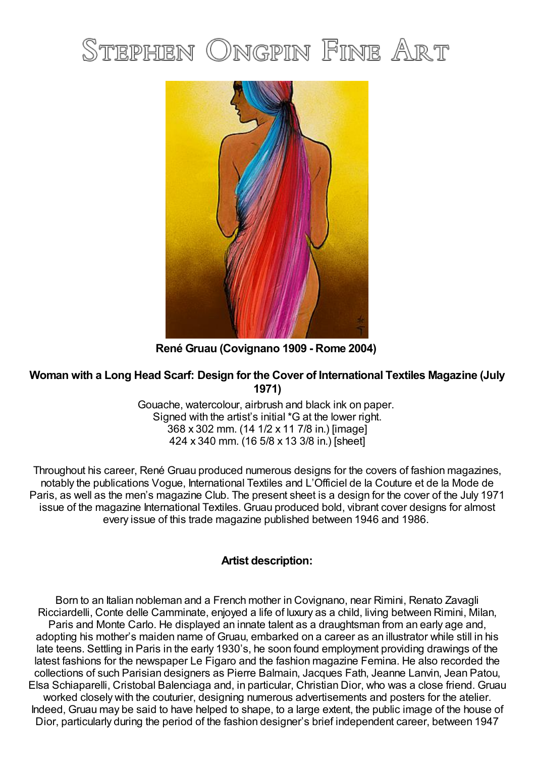## STEPHEN ONGPIN FINE ART



**René Gruau (Covignano 1909 - Rome 2004)**

## **Woman with a Long Head Scarf: Design for the Cover of International Textiles Magazine (July 1971)**

Gouache, watercolour, airbrush and black ink on paper. Signed with the artist's initial \*G at the lower right. 368 x 302 mm. (14 1/2 x 11 7/8 in.) [image] 424 x 340 mm. (16 5/8 x 13 3/8 in.) [sheet]

Throughout his career, René Gruau produced numerous designs for the covers of fashion magazines, notably the publications Vogue, International Textiles and L'Officiel de la Couture et de la Mode de Paris, as well as the men's magazine Club. The present sheet is a design for the cover of the July 1971 issue of the magazine International Textiles. Gruau produced bold, vibrant cover designs for almost every issue of this trade magazine published between 1946 and 1986.

## **Artist description:**

Born to an Italian nobleman and a French mother in Covignano, near Rimini, Renato Zavagli Ricciardelli, Conte delle Camminate, enjoyed a life of luxury as a child, living between Rimini, Milan, Paris and Monte Carlo. He displayed an innate talent as a draughtsman from an early age and, adopting his mother's maiden name of Gruau, embarked on a career as an illustrator while still in his late teens. Settling in Paris in the early 1930's, he soon found employment providing drawings of the latest fashions for the newspaper Le Figaro and the fashion magazine Femina. He also recorded the collections of such Parisian designers as Pierre Balmain, Jacques Fath, Jeanne Lanvin, Jean Patou, Elsa Schiaparelli, Cristobal Balenciaga and, in particular, Christian Dior, who was a close friend. Gruau worked closely with the couturier, designing numerous advertisements and posters for the atelier. Indeed, Gruau may be said to have helped to shape, to a large extent, the public image of the house of Dior, particularly during the period of the fashion designer's brief independent career, between 1947